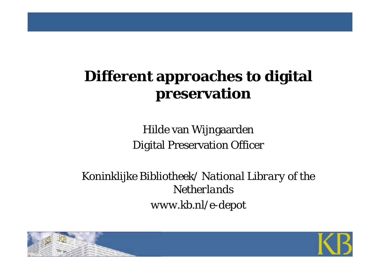# **Different approaches to digital preservation**

Hilde van Wijngaarden Digital Preservation Officer

*Koninklijke Bibliotheek/ National Library of the Netherlandswww.kb.nl/e-depot*



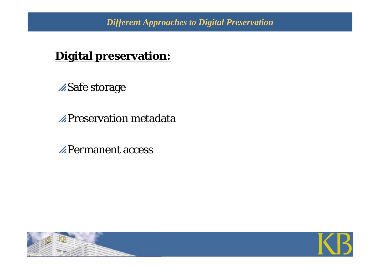#### **Digital preservation:**

**ASafe storage** 

 $\mathbb Z$ Preservation metadata

 $\mathbb{Z}$ Permanent access



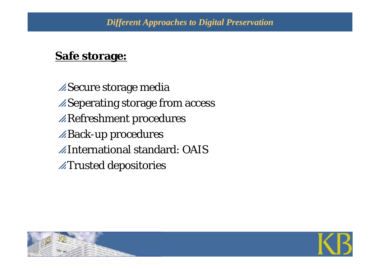#### **Safe storage:**

**Secure storage media Z**Seperating storage from access  $\mathbb Z$ Refreshment procedures **Back-up procedures**  $\mathbb Z$ International standard: OAIS  $\n *A*Trusted depositionies\n$ 



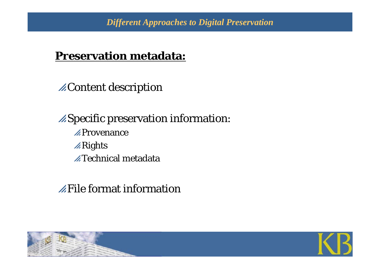#### **Preservation metadata:**

**ZContent description** 

 $\mathscr{A}$ Specific preservation information:  $\mathscr{L}$ Provenance  $\mathbb{Z}$ Rights  $\n *A* Technical metadata$ 

#### $\mathbb Z$ File format information



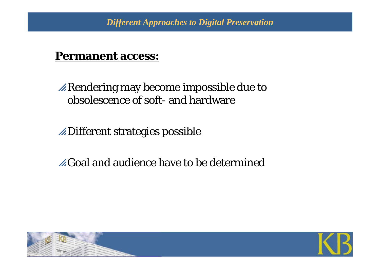#### **Permanent access:**

 $\mathbb Z$ Rendering may become impossible due to obsolescence of soft- and hardware

 $\mathbb Z$ Different strategies possible

 $\mathscr{L}$ Goal and audience have to be determined



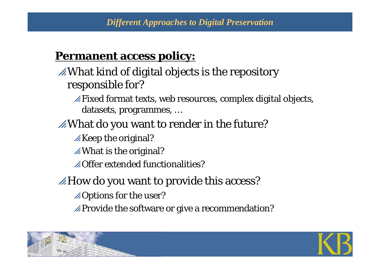#### **Permanent access policy:**

 $\mathscr{A}$ What kind of digital objects is the repository responsible for?

 $\mathbb Z$ Fixed format texts, web resources, complex digital objects, datasets, programmes, …

- $\mathbb Z$ What do you want to render in the future?
	- $\mathscr{A}$ Keep the original?

 $\mathscr{A}$ What is the original?

 $\mathscr{A}$ Offer extended functionalities?

 $\mathscr{A}$ How do you want to provide this access?

 $\mathscr{A}$ Options for the user?

 $\mathbb Z$ Provide the software or give a recommendation?



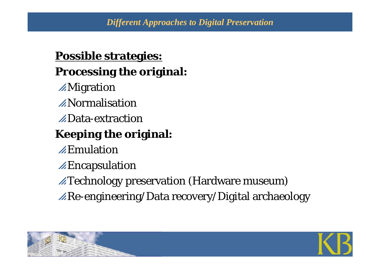#### **Possible strategies: Processing the original:**

- **AMigration**
- $\mathbb Z$ Normalisation
- $\n *\triangle* Data-extraction\n$

# **Keeping the original:**

- $\mathbb Z$ Emulation
- $\mathbb Z$ Encapsulation
- $\mathbb Z$ Technology preservation (Hardware museum)
- $\mathbb{Z}$ Re-engineering/Data recovery/Digital archaeology



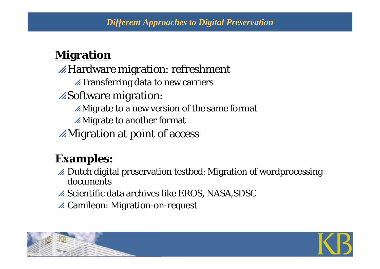#### *Different Approaches to Digital Preservation*

### **Migration**

 $\mathbb{Z}$ Hardware migration: refreshment  $\n *A* Transferring data to new carriers\n$ **ASoftware migration:**  $\mathscr{A}$ Migrate to a new version of the same format  $\mathscr{A}$ Migrate to another format  $\mathbb Z$ Migration at point of access

#### **Examples:**

- $\mathscr A$  Dutch digital preservation testbed: Migration of wordprocessing documents
- $\mathbb Z$  Scientific data archives like EROS, NASA,SDSC
- $\mathscr A$  Camileon: Migration-on-request

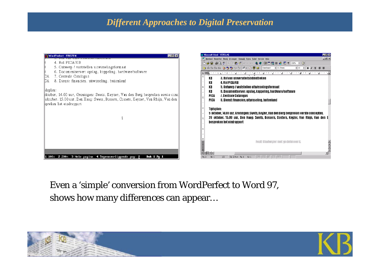#### *Different Approaches to Digital Preservation*



Even a 'simple' conversion from WordPerfect to Word 97, shows how many differences can appear…

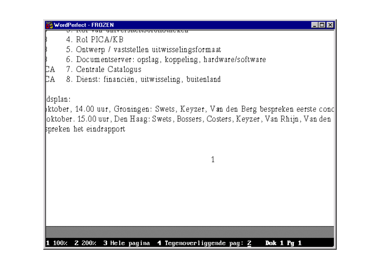**WordPerfect - FROZEN** 

<u>mi v Ci Jiwci with thickin</u>

 $4.$  Ro1 PICA/KB

5. Ontwerp / vaststellen uitwisselingsformaat

6. Documentserver: opslag, koppeling, hardware/software

7. Centrale Catalogus DА

þд. 8. Dienst: financiën, uitwisseling, buitenland

dsplan:

ktober, 14.00 uur, Groningen: Swets, Keyzer, Van den Berg bespreken eerste cond oktober. 15.00 uur, Den Haag: Swets, Bossers, Costers, Keyzer, Van Rhijn, Van den spreken het eindrapport

1

 $|$  .  $|$   $\Box$   $|$   $\times$ 

100% 2 200% 3 Hele pagina 4 Tegenoverliggende pag:  $\underline{2}$ **Dok 1 Pg 1**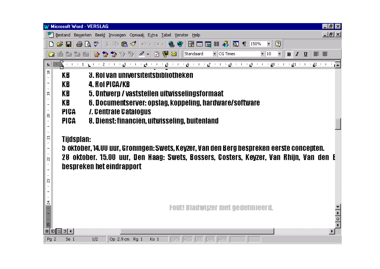| <b>Microsoft Word - VERSLAG</b><br>- P ×                                                                                                                     |                                                                                          |                                                                                                                              |                  |  |
|--------------------------------------------------------------------------------------------------------------------------------------------------------------|------------------------------------------------------------------------------------------|------------------------------------------------------------------------------------------------------------------------------|------------------|--|
|                                                                                                                                                              |                                                                                          | Bestand Bewerken Beeld Invoegen Opmaak Extra Tabel Venster Help                                                              | <u> - Ial xi</u> |  |
|                                                                                                                                                              |                                                                                          | 國靈壓重多<br>$\overline{2}$<br>$\alpha$ 150%<br>$\overline{\mathbf{r}}$                                                          |                  |  |
|                                                                                                                                                              | 調調圖                                                                                      | 2 @ ⊠<br> なななるる  クー<br>$\blacktriangleright$ CG Times<br>$\overline{\phantom{a}}$<br>青青<br>Standaard<br>$-10$<br>$B$ $I$ $U$ |                  |  |
| $\overline{\mathbb{A}}$ יי יצ $\mathbb{P}$ יי יצ $\mathbb{P}$ יי יצ $\mathbb{R}$ יי יצ $\mathbb{Z}$ יי יצ $\mathbb{Z}$ יי יצ $\mathbb{Z}$ יי יצ $\mathbb{Z}$ |                                                                                          |                                                                                                                              |                  |  |
| ≌                                                                                                                                                            | KB                                                                                       | <b>3. Rol van universiteitsbibliotheken</b>                                                                                  |                  |  |
|                                                                                                                                                              | KB                                                                                       | <b>4. ROI PICA/KB</b>                                                                                                        |                  |  |
| g                                                                                                                                                            | KB                                                                                       | 5. Ontwerp / vaststellen uitwisselingsformaat                                                                                |                  |  |
|                                                                                                                                                              | KB.                                                                                      | 6. Documentserver: opslag, koppeling, hardware/software                                                                      |                  |  |
| ន                                                                                                                                                            | PICA                                                                                     | 7. Centrale Catalogus                                                                                                        |                  |  |
|                                                                                                                                                              | <b>PICA</b>                                                                              | 8. Dienst: financiën, uitwisseling, buitenland                                                                               |                  |  |
|                                                                                                                                                              |                                                                                          |                                                                                                                              |                  |  |
| ដ                                                                                                                                                            | Tijdsplan:                                                                               |                                                                                                                              |                  |  |
|                                                                                                                                                              | 5 oktober, 14.00 uur, Groningen: Swets, Keyzer, Van den Berg bespreken eerste concepten. |                                                                                                                              |                  |  |
| 28 oktober. 15.00 uur, Den Haag: Swets, Bossers, Costers, Keyzer, Van Rhijn, Van den E<br>Ŋ                                                                  |                                                                                          |                                                                                                                              |                  |  |
|                                                                                                                                                              |                                                                                          | bespreken het eindrapport                                                                                                    |                  |  |
| ని                                                                                                                                                           |                                                                                          |                                                                                                                              |                  |  |
|                                                                                                                                                              |                                                                                          |                                                                                                                              |                  |  |
|                                                                                                                                                              |                                                                                          |                                                                                                                              |                  |  |
|                                                                                                                                                              |                                                                                          | Fout! Bladwiger met gedefinieerd.                                                                                            |                  |  |
|                                                                                                                                                              |                                                                                          |                                                                                                                              | $rac{1}{\circ}$  |  |
|                                                                                                                                                              |                                                                                          |                                                                                                                              |                  |  |
|                                                                                                                                                              | □ □ □ □ ◀                                                                                |                                                                                                                              |                  |  |
| Pg 2                                                                                                                                                         | Se 1                                                                                     | 1/2<br>Op 2.9 cm Rg 1<br>OPN WZG<br><b>LUTT</b><br>OVR.<br><b>WPH</b><br>Ko 1                                                |                  |  |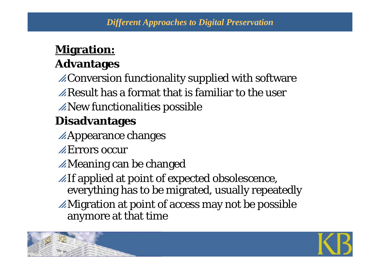### **Migration:**

## **Advantages**

 $\mathscr{A}$ Conversion functionality supplied with software

 $\mathbb Z$  Result has a format that is familiar to the user

 $\mathbb Z$ New functionalities possible

# **Disadvantages**

- $\mathbb{Z}$ Appearance changes
- $\mathbb Z$ Errors occur
- $\mathbb Z$ Meaning can be changed
- $\mathbb{Z}$ If applied at point of expected obsolescence, everything has to be migrated, usually repeatedly
- $\mathbb Z$ Migration at point of access may not be possible anymore at that time

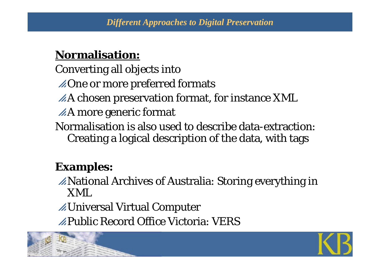#### **Normalisation:**

- Converting all objects into
- $\triangle$ One or more preferred formats
- $\angle A$  chosen preservation format, for instance XML
- $\n *A* more generic format\n$
- Normalisation is also used to describe data-extraction: Creating a logical description of the data, with tags

## **Examples:**

- $\mathbb Z$ National Archives of Australia: Storing everything in XML
- $\mathbb Z$ Universal Virtual Computer
- $\mathbb Z$ Public Record Office Victoria: VERS



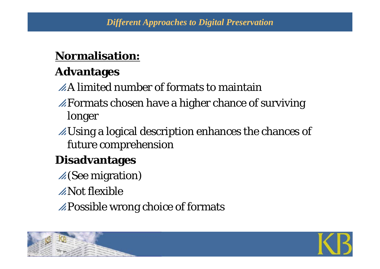#### **Normalisation:**

## **Advantages**

 $\angle A$  limited number of formats to maintain

- $\mathscr{A}$  Formats chosen have a higher chance of surviving longer
- $\mathbb Z$ Using a logical description enhances the chances of future comprehension

# **Disadvantages**

- $\mathscr{A}$  (See migration)
- $\mathbb Z$ Not flexible
- $\mathbb Z$ Possible wrong choice of formats



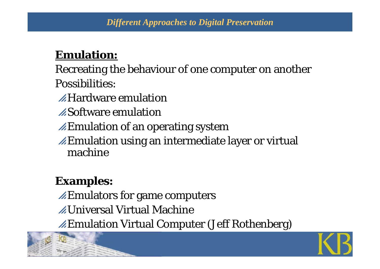#### **Emulation:**

Recreating the behaviour of one computer on another Possibilities:

 $\mathscr{A}$ Hardware emulation

 $\angle Z$ Software emulation

 $\mathbb Z$ Emulation of an operating system

 $\mathbb Z$ Emulation using an intermediate layer or virtual machine

## **Examples:**

 $\mathbb Z$ Emulators for game computers

**ZUniversal Virtual Machine** 

pEmulation Virtual Computer (Jeff Rothenberg)



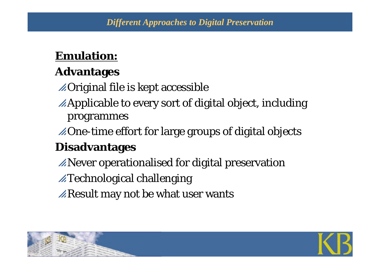#### **Emulation:**

### **Advantages**

 $\mathbb Z$ Original file is kept accessible

- $\mathbb Z$ Applicable to every sort of digital object, including programmes
- $\mathbb Z$ One-time effort for large groups of digital objects

### **Disadvantages**

- $\mathbb Z$ Never operationalised for digital preservation
- $\mathbb Z$ Technological challenging
- $\mathbb Z$ Result may not be what user wants



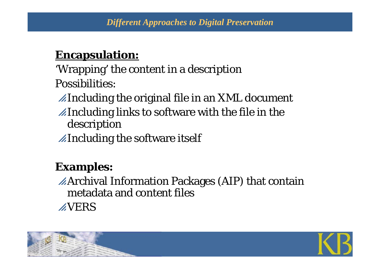#### **Encapsulation:**

'Wrapping' the content in a description Possibilities:

 $\mathbb Z$ Including the original file in an XML document

 $\mathbb Z$ Including links to software with the file in the description

 $\mathbb Z$ Including the software itself

## **Examples:**

 $\mathbb{Z}$ Archival Information Packages (AIP) that contain metadata and content files**AVERS** 

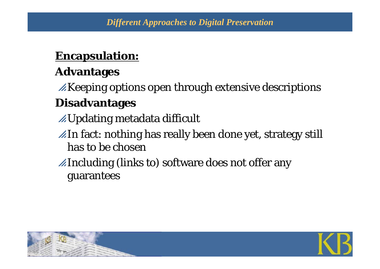#### **Encapsulation:**

### **Advantages**

 $\mathbb Z$  Keeping options open through extensive descriptions **Disadvantages**

- pUpdating metadata difficult
- $\mathbb Z$ In fact: nothing has really been done yet, strategy still has to be chosen
- $\mathbb Z$ Including (links to) software does not offer any guarantees



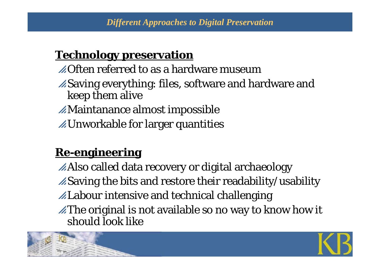### **Technology preservation**

 $\mathscr{L}$ Often referred to as a hardware museum  $\mathscr{A}$ Saving everything: files, software and hardware and keep them alive  $\mathbb Z$ Maintanance almost impossible  $\mathbb Z$ Unworkable for larger quantities

## **Re-engineering**

 $\mathbb Z$ Also called data recovery or digital archaeology  $\mathscr{B}$ Saving the bits and restore their readability/usability pLabour intensive and technical challenging  $\mathbb Z$ The original is not available so no way to know how it should look like



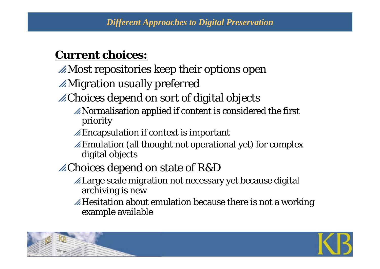#### **Current choices:**

- $\mathbb Z$ Most repositories keep their options open
- $\mathbb Z$ Migration usually preferred
- $\mathbb Z$ Choices depend on sort of digital objects
	- $\mathbb Z$ Normalisation applied if content is considered the first priority
	- $\mathscr{A}$ Encapsulation if context is important
	- $\mathbb Z$  Emulation (all thought not operational yet) for complex digital objects
- pChoices depend on state of R&D
	- pLarge scale migration not necessary yet because digital archiving is new
	- $\mathbb Z$  Hesitation about emulation because there is not a working example available

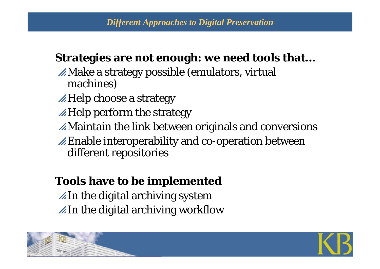#### **Strategies are not enough: we need tools that…**

- $\mathbb Z$ Make a strategy possible (emulators, virtual machines)
- $\mathbb{Z}$ Help choose a strategy
- $\mathbb{Z}$ Help perform the strategy
- $\mathbb Z$ Maintain the link between originals and conversions
- $\mathbb Z$ Enable interoperability and co-operation between different repositories

### **Tools have to be implemented**

 $\mathbb Z$ In the digital archiving system  $\mathbb{Z}$ In the digital archiving workflow